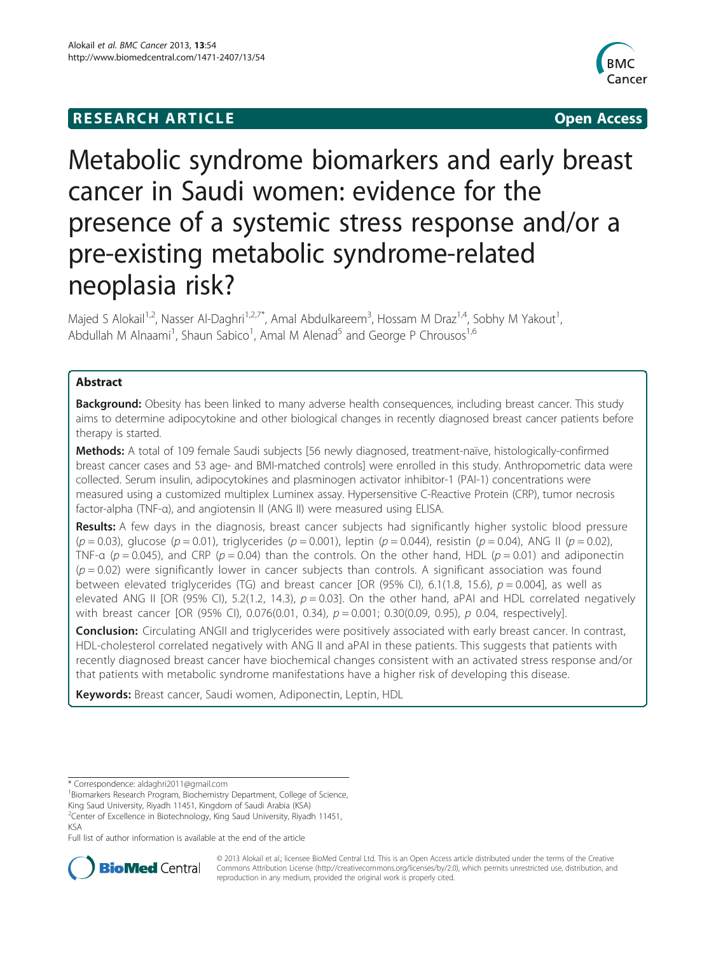# **RESEARCH ARTICLE Example 2014 CONSIDERING CONSIDERING CONSIDERING CONSIDERING CONSIDERING CONSIDERING CONSIDERING CONSIDERING CONSIDERING CONSIDERING CONSIDERING CONSIDERING CONSIDERING CONSIDERING CONSIDERING CONSIDE**



# Metabolic syndrome biomarkers and early breast cancer in Saudi women: evidence for the presence of a systemic stress response and/or a pre-existing metabolic syndrome-related neoplasia risk?

Majed S Alokail<sup>1,2</sup>, Nasser Al-Daghri<sup>1,2,7\*</sup>, Amal Abdulkareem<sup>3</sup>, Hossam M Draz<sup>1,4</sup>, Sobhy M Yakout<sup>1</sup> , Abdullah M Alnaami<sup>1</sup>, Shaun Sabico<sup>1</sup>, Amal M Alenad<sup>5</sup> and George P Chrousos<sup>1,6</sup>

# Abstract

Background: Obesity has been linked to many adverse health consequences, including breast cancer. This study aims to determine adipocytokine and other biological changes in recently diagnosed breast cancer patients before therapy is started.

Methods: A total of 109 female Saudi subjects [56 newly diagnosed, treatment-naïve, histologically-confirmed breast cancer cases and 53 age- and BMI-matched controls] were enrolled in this study. Anthropometric data were collected. Serum insulin, adipocytokines and plasminogen activator inhibitor-1 (PAI-1) concentrations were measured using a customized multiplex Luminex assay. Hypersensitive C-Reactive Protein (CRP), tumor necrosis factor-alpha (TNF-α), and angiotensin II (ANG II) were measured using ELISA.

Results: A few days in the diagnosis, breast cancer subjects had significantly higher systolic blood pressure  $(p = 0.03)$ , glucose  $(p = 0.01)$ , triglycerides  $(p = 0.001)$ , leptin  $(p = 0.044)$ , resistin  $(p = 0.04)$ , ANG II  $(p = 0.02)$ , TNF-a ( $p = 0.045$ ), and CRP ( $p = 0.04$ ) than the controls. On the other hand, HDL ( $p = 0.01$ ) and adiponectin  $(p = 0.02)$  were significantly lower in cancer subjects than controls. A significant association was found between elevated triglycerides (TG) and breast cancer [OR (95% CI), 6.1(1.8, 15.6),  $p = 0.004$ ], as well as elevated ANG II [OR (95% CI), 5.2(1.2, 14.3),  $p = 0.03$ ]. On the other hand, aPAI and HDL correlated negatively with breast cancer [OR (95% CI), 0.076(0.01, 0.34),  $p = 0.001$ ; 0.30(0.09, 0.95), p 0.04, respectively].

**Conclusion:** Circulating ANGII and triglycerides were positively associated with early breast cancer. In contrast, HDL-cholesterol correlated negatively with ANG II and aPAI in these patients. This suggests that patients with recently diagnosed breast cancer have biochemical changes consistent with an activated stress response and/or that patients with metabolic syndrome manifestations have a higher risk of developing this disease.

Keywords: Breast cancer, Saudi women, Adiponectin, Leptin, HDL

Full list of author information is available at the end of the article



© 2013 Alokail et al.; licensee BioMed Central Ltd. This is an Open Access article distributed under the terms of the Creative Commons Attribution License [\(http://creativecommons.org/licenses/by/2.0\)](http://creativecommons.org/licenses/by/2.0), which permits unrestricted use, distribution, and reproduction in any medium, provided the original work is properly cited.

<sup>\*</sup> Correspondence: [aldaghri2011@gmail.com](mailto:aldaghri2011@gmail.com) <sup>1</sup>

<sup>&</sup>lt;sup>1</sup>Biomarkers Research Program, Biochemistry Department, College of Science,

King Saud University, Riyadh 11451, Kingdom of Saudi Arabia (KSA)

<sup>&</sup>lt;sup>2</sup>Center of Excellence in Biotechnology, King Saud University, Riyadh 11451, KSA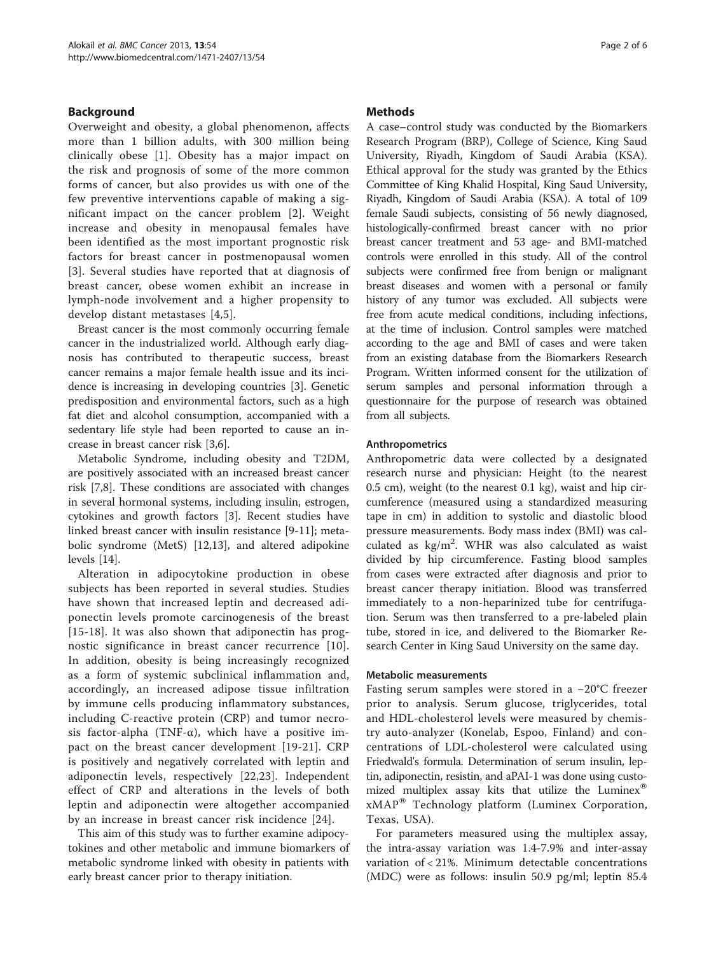# Background

Overweight and obesity, a global phenomenon, affects more than 1 billion adults, with 300 million being clinically obese [[1\]](#page-5-0). Obesity has a major impact on the risk and prognosis of some of the more common forms of cancer, but also provides us with one of the few preventive interventions capable of making a significant impact on the cancer problem [[2](#page-5-0)]. Weight increase and obesity in menopausal females have been identified as the most important prognostic risk factors for breast cancer in postmenopausal women [[3](#page-5-0)]. Several studies have reported that at diagnosis of breast cancer, obese women exhibit an increase in lymph-node involvement and a higher propensity to develop distant metastases [\[4](#page-5-0),[5\]](#page-5-0).

Breast cancer is the most commonly occurring female cancer in the industrialized world. Although early diagnosis has contributed to therapeutic success, breast cancer remains a major female health issue and its incidence is increasing in developing countries [[3\]](#page-5-0). Genetic predisposition and environmental factors, such as a high fat diet and alcohol consumption, accompanied with a sedentary life style had been reported to cause an increase in breast cancer risk [[3,6\]](#page-5-0).

Metabolic Syndrome, including obesity and T2DM, are positively associated with an increased breast cancer risk [[7,8\]](#page-5-0). These conditions are associated with changes in several hormonal systems, including insulin, estrogen, cytokines and growth factors [\[3\]](#page-5-0). Recent studies have linked breast cancer with insulin resistance [\[9](#page-5-0)-[11](#page-5-0)]; metabolic syndrome (MetS) [\[12,13](#page-5-0)], and altered adipokine levels [\[14\]](#page-5-0).

Alteration in adipocytokine production in obese subjects has been reported in several studies. Studies have shown that increased leptin and decreased adiponectin levels promote carcinogenesis of the breast [[15](#page-5-0)-[18\]](#page-5-0). It was also shown that adiponectin has prognostic significance in breast cancer recurrence [[10](#page-5-0)]. In addition, obesity is being increasingly recognized as a form of systemic subclinical inflammation and, accordingly, an increased adipose tissue infiltration by immune cells producing inflammatory substances, including C-reactive protein (CRP) and tumor necrosis factor-alpha (TNF- $\alpha$ ), which have a positive impact on the breast cancer development [[19-21\]](#page-5-0). CRP is positively and negatively correlated with leptin and adiponectin levels, respectively [\[22](#page-5-0),[23\]](#page-5-0). Independent effect of CRP and alterations in the levels of both leptin and adiponectin were altogether accompanied by an increase in breast cancer risk incidence [[24\]](#page-5-0).

This aim of this study was to further examine adipocytokines and other metabolic and immune biomarkers of metabolic syndrome linked with obesity in patients with early breast cancer prior to therapy initiation.

# **Methods**

A case–control study was conducted by the Biomarkers Research Program (BRP), College of Science, King Saud University, Riyadh, Kingdom of Saudi Arabia (KSA). Ethical approval for the study was granted by the Ethics Committee of King Khalid Hospital, King Saud University, Riyadh, Kingdom of Saudi Arabia (KSA). A total of 109 female Saudi subjects, consisting of 56 newly diagnosed, histologically-confirmed breast cancer with no prior breast cancer treatment and 53 age- and BMI-matched controls were enrolled in this study. All of the control subjects were confirmed free from benign or malignant breast diseases and women with a personal or family history of any tumor was excluded. All subjects were free from acute medical conditions, including infections, at the time of inclusion. Control samples were matched according to the age and BMI of cases and were taken from an existing database from the Biomarkers Research Program. Written informed consent for the utilization of serum samples and personal information through a questionnaire for the purpose of research was obtained from all subjects.

# Anthropometrics

Anthropometric data were collected by a designated research nurse and physician: Height (to the nearest 0.5 cm), weight (to the nearest 0.1 kg), waist and hip circumference (measured using a standardized measuring tape in cm) in addition to systolic and diastolic blood pressure measurements. Body mass index (BMI) was calculated as kg/m<sup>2</sup>. WHR was also calculated as waist divided by hip circumference. Fasting blood samples from cases were extracted after diagnosis and prior to breast cancer therapy initiation. Blood was transferred immediately to a non-heparinized tube for centrifugation. Serum was then transferred to a pre-labeled plain tube, stored in ice, and delivered to the Biomarker Research Center in King Saud University on the same day.

#### Metabolic measurements

Fasting serum samples were stored in a −20°C freezer prior to analysis. Serum glucose, triglycerides, total and HDL-cholesterol levels were measured by chemistry auto-analyzer (Konelab, Espoo, Finland) and concentrations of LDL-cholesterol were calculated using Friedwald's formula. Determination of serum insulin, leptin, adiponectin, resistin, and aPAI-1 was done using customized multiplex assay kits that utilize the Luminex<sup>®</sup> xMAP<sup>®</sup> Technology platform (Luminex Corporation, Texas, USA).

For parameters measured using the multiplex assay, the intra-assay variation was 1.4-7.9% and inter-assay variation of < 21%. Minimum detectable concentrations (MDC) were as follows: insulin 50.9 pg/ml; leptin 85.4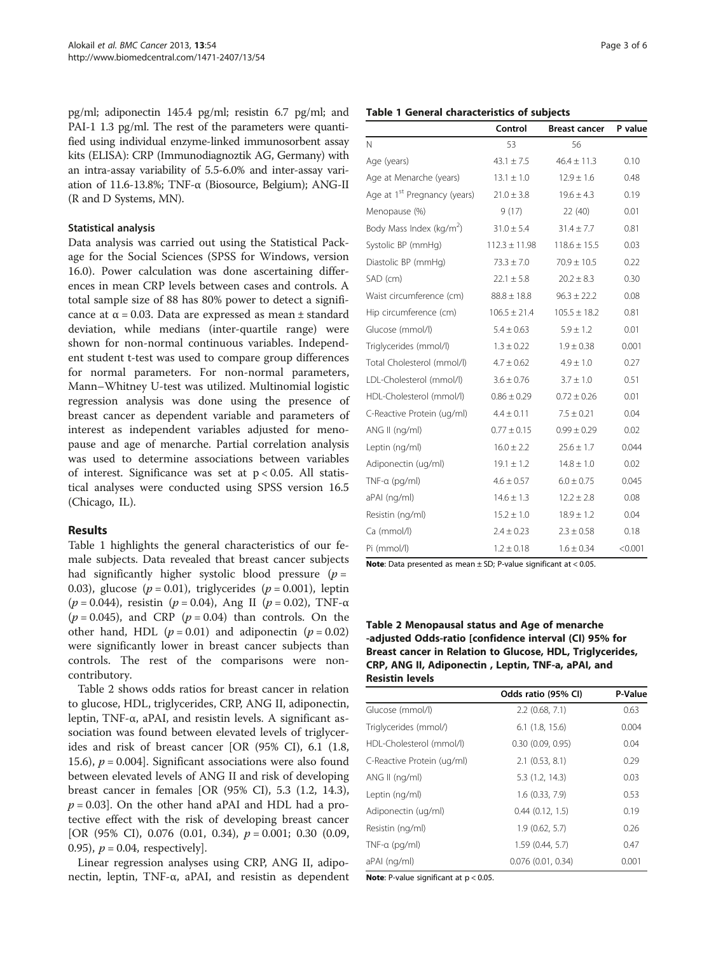pg/ml; adiponectin 145.4 pg/ml; resistin 6.7 pg/ml; and PAI-1 1.3 pg/ml. The rest of the parameters were quantified using individual enzyme-linked immunosorbent assay kits (ELISA): CRP (Immunodiagnoztik AG, Germany) with an intra-assay variability of 5.5-6.0% and inter-assay variation of 11.6-13.8%; TNF-α (Biosource, Belgium); ANG-II (R and D Systems, MN).

#### Statistical analysis

Data analysis was carried out using the Statistical Package for the Social Sciences (SPSS for Windows, version 16.0). Power calculation was done ascertaining differences in mean CRP levels between cases and controls. A total sample size of 88 has 80% power to detect a significance at  $α = 0.03$ . Data are expressed as mean  $±$  standard deviation, while medians (inter-quartile range) were shown for non-normal continuous variables. Independent student t-test was used to compare group differences for normal parameters. For non-normal parameters, Mann–Whitney U-test was utilized. Multinomial logistic regression analysis was done using the presence of breast cancer as dependent variable and parameters of interest as independent variables adjusted for menopause and age of menarche. Partial correlation analysis was used to determine associations between variables of interest. Significance was set at  $p < 0.05$ . All statistical analyses were conducted using SPSS version 16.5 (Chicago, IL).

#### Results

Table 1 highlights the general characteristics of our female subjects. Data revealed that breast cancer subjects had significantly higher systolic blood pressure  $(p =$ 0.03), glucose ( $p = 0.01$ ), triglycerides ( $p = 0.001$ ), leptin (p = 0.044), resistin (p = 0.04), Ang II (p = 0.02), TNF- $\alpha$  $(p = 0.045)$ , and CRP  $(p = 0.04)$  than controls. On the other hand, HDL ( $p = 0.01$ ) and adiponectin ( $p = 0.02$ ) were significantly lower in breast cancer subjects than controls. The rest of the comparisons were noncontributory.

Table 2 shows odds ratios for breast cancer in relation to glucose, HDL, triglycerides, CRP, ANG II, adiponectin, leptin, TNF-α, aPAI, and resistin levels. A significant association was found between elevated levels of triglycerides and risk of breast cancer [OR (95% CI), 6.1 (1.8, 15.6),  $p = 0.004$ . Significant associations were also found between elevated levels of ANG II and risk of developing breast cancer in females [OR (95% CI), 5.3 (1.2, 14.3),  $p = 0.03$ ]. On the other hand aPAI and HDL had a protective effect with the risk of developing breast cancer [OR (95% CI), 0.076 (0.01, 0.34),  $p = 0.001$ ; 0.30 (0.09, 0.95),  $p = 0.04$ , respectively.

Linear regression analyses using CRP, ANG II, adiponectin, leptin, TNF-α, aPAI, and resistin as dependent

|                                          | Control           | <b>Breast cancer</b> | P value |  |
|------------------------------------------|-------------------|----------------------|---------|--|
| N                                        | 53                | 56                   |         |  |
| Age (years)                              | $43.1 \pm 7.5$    | $46.4 \pm 11.3$      | 0.10    |  |
| Age at Menarche (years)                  | $13.1 \pm 1.0$    | $12.9 \pm 1.6$       | 0.48    |  |
| Age at 1 <sup>st</sup> Pregnancy (years) | $21.0 \pm 3.8$    | $19.6 \pm 4.3$       | 0.19    |  |
| Menopause (%)                            | 9(17)             | 22(40)               | 0.01    |  |
| Body Mass Index (kg/m <sup>2</sup> )     | $31.0 \pm 5.4$    | $31.4 \pm 7.7$       | 0.81    |  |
| Systolic BP (mmHq)                       | $112.3 \pm 11.98$ | $118.6 \pm 15.5$     | 0.03    |  |
| Diastolic BP (mmHg)                      | $73.3 \pm 7.0$    | $70.9 \pm 10.5$      | 0.22    |  |
| SAD (cm)                                 | $22.1 \pm 5.8$    | $20.2 \pm 8.3$       | 0.30    |  |
| Waist circumference (cm)                 | $88.8 \pm 18.8$   | $96.3 \pm 22.2$      | 0.08    |  |
| Hip circumference (cm)                   | $106.5 \pm 21.4$  | $105.5 \pm 18.2$     | 0.81    |  |
| Glucose (mmol/l)                         | $5.4 \pm 0.63$    | $5.9 \pm 1.2$        | 0.01    |  |
| Triglycerides (mmol/l)                   | $1.3 \pm 0.22$    | $1.9 \pm 0.38$       | 0.001   |  |
| Total Cholesterol (mmol/l)               | $4.7 \pm 0.62$    | $4.9 \pm 1.0$        | 0.27    |  |
| LDL-Cholesterol (mmol/l)                 | $3.6 \pm 0.76$    | $3.7 \pm 1.0$        | 0.51    |  |
| HDL-Cholesterol (mmol/l)                 | $0.86 \pm 0.29$   | $0.72 \pm 0.26$      | 0.01    |  |
| C-Reactive Protein (ug/ml)               | $4.4 \pm 0.11$    | $7.5 \pm 0.21$       | 0.04    |  |
| ANG II (ng/ml)                           | $0.77 \pm 0.15$   | $0.99 \pm 0.29$      | 0.02    |  |
| Leptin (ng/ml)                           | $16.0 \pm 2.2$    | $25.6 \pm 1.7$       | 0.044   |  |
| Adiponectin (ug/ml)                      | $19.1 \pm 1.2$    | $14.8 \pm 1.0$       | 0.02    |  |
| $TNF-a$ (pg/ml)                          | $4.6 \pm 0.57$    | $6.0 \pm 0.75$       | 0.045   |  |
| aPAI (ng/ml)                             | $14.6 \pm 1.3$    | $12.2 \pm 2.8$       | 0.08    |  |
| Resistin (ng/ml)                         | $15.2 \pm 1.0$    | $18.9 \pm 1.2$       | 0.04    |  |
| Ca (mmol/l)                              | $2.4 \pm 0.23$    | $2.3 \pm 0.58$       | 0.18    |  |
| Pi (mmol/l)                              | $1.2 \pm 0.18$    | $1.6 \pm 0.34$       | < 0.001 |  |

Note: Data presented as mean  $\pm$  SD; P-value significant at < 0.05.

## Table 2 Menopausal status and Age of menarche -adjusted Odds-ratio [confidence interval (CI) 95% for Breast cancer in Relation to Glucose, HDL, Triglycerides, CRP, ANG II, Adiponectin , Leptin, TNF-a, aPAI, and Resistin levels

|                            | Odds ratio (95% CI) | P-Value |
|----------------------------|---------------------|---------|
| Glucose (mmol/l)           | $2.2$ (0.68, 7.1)   | 0.63    |
| Triglycerides (mmol/)      | $6.1$ (1.8, 15.6)   | 0.004   |
| HDL-Cholesterol (mmol/l)   | 0.30(0.09, 0.95)    | 0.04    |
| C-Reactive Protein (ug/ml) | $2.1$ (0.53, 8.1)   | 0.29    |
| $ANG II$ (ng/ml)           | 5.3(1.2, 14.3)      | 0.03    |
| Leptin (ng/ml)             | 1.6(0.33, 7.9)      | 0.53    |
| Adiponectin (ug/ml)        | 0.44(0.12, 1.5)     | 0.19    |
| Resistin (ng/ml)           | 1.9(0.62, 5.7)      | 0.26    |
| $TNF-a$ (pg/ml)            | 1.59 (0.44, 5.7)    | 0.47    |
| aPAI (ng/ml)               | 0.076(0.01, 0.34)   | 0.001   |

**Note:** P-value significant at  $p < 0.05$ .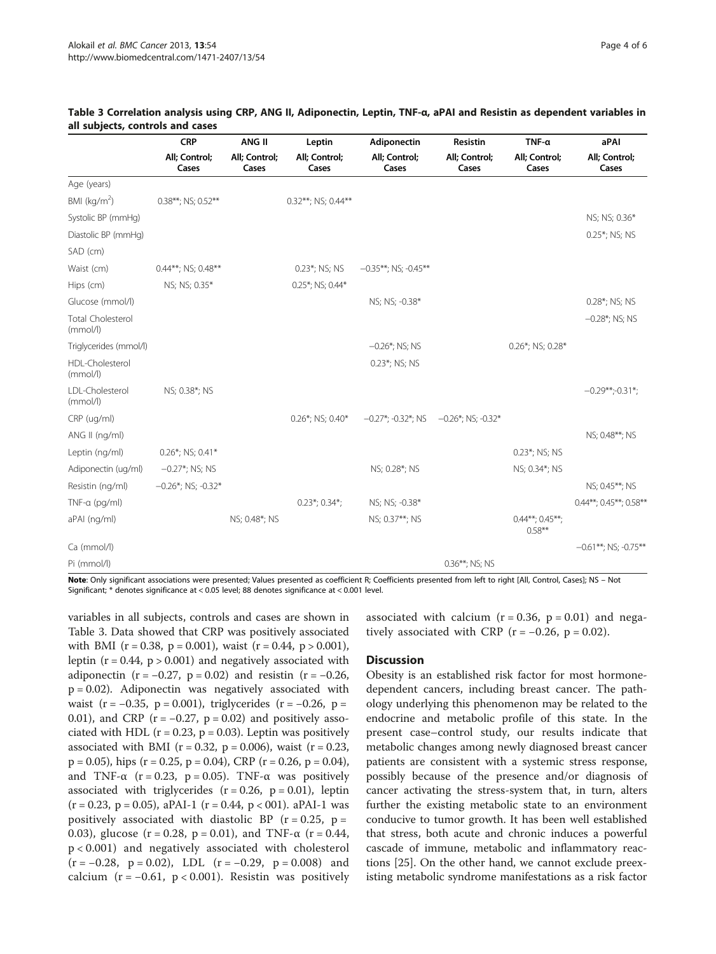|                                      | <b>CRP</b><br>All; Control;<br>Cases | ANG II<br>All; Control;<br>Cases | Leptin<br>All; Control;<br>Cases | Adiponectin<br>All; Control;<br>Cases | Resistin<br>All; Control;<br>Cases | $TNF-\alpha$<br>All; Control;<br>Cases | aPAI<br>All; Control;<br>Cases |
|--------------------------------------|--------------------------------------|----------------------------------|----------------------------------|---------------------------------------|------------------------------------|----------------------------------------|--------------------------------|
|                                      |                                      |                                  |                                  |                                       |                                    |                                        |                                |
| Age (years)                          |                                      |                                  |                                  |                                       |                                    |                                        |                                |
| BMI (kg/m <sup>2</sup> )             | 0.38**; NS; 0.52**                   |                                  | 0.32**; NS; 0.44**               |                                       |                                    |                                        |                                |
| Systolic BP (mmHg)                   |                                      |                                  |                                  |                                       |                                    |                                        | NS; NS; 0.36*                  |
| Diastolic BP (mmHq)                  |                                      |                                  |                                  |                                       |                                    |                                        | 0.25*; NS; NS                  |
| SAD (cm)                             |                                      |                                  |                                  |                                       |                                    |                                        |                                |
| Waist (cm)                           | 0.44**; NS; 0.48**                   |                                  | 0.23*; NS; NS                    | $-0.35***$ ; NS; $-0.45***$           |                                    |                                        |                                |
| Hips (cm)                            | NS; NS; 0.35*                        |                                  | 0.25*; NS; 0.44*                 |                                       |                                    |                                        |                                |
| Glucose (mmol/l)                     |                                      |                                  |                                  | NS; NS; -0.38*                        |                                    |                                        | 0.28*; NS; NS                  |
| <b>Total Cholesterol</b><br>(mmol/l) |                                      |                                  |                                  |                                       |                                    |                                        | $-0.28$ *; NS; NS              |
| Triglycerides (mmol/l)               |                                      |                                  |                                  | $-0.26$ *; NS; NS                     |                                    | 0.26*; NS; 0.28*                       |                                |
| HDL-Cholesterol<br>(mmol/l)          |                                      |                                  |                                  | 0.23*; NS; NS                         |                                    |                                        |                                |
| LDL-Cholesterol<br>(mmol/l)          | NS; 0.38*; NS                        |                                  |                                  |                                       |                                    |                                        | $-0.29**-0.31*$                |
| CRP (ug/ml)                          |                                      |                                  | 0.26*; NS; 0.40*                 | $-0.27$ *; -0.32*; NS                 | $-0.26$ *; NS; -0.32*              |                                        |                                |
| ANG II (ng/ml)                       |                                      |                                  |                                  |                                       |                                    |                                        | NS; 0.48**; NS                 |
| Leptin (ng/ml)                       | $0.26$ *; NS; 0.41*                  |                                  |                                  |                                       |                                    | 0.23*; NS; NS                          |                                |
| Adiponectin (ug/ml)                  | $-0.27$ *; NS; NS                    |                                  |                                  | NS; 0.28*; NS                         |                                    | NS; 0.34*; NS                          |                                |
| Resistin (ng/ml)                     | $-0.26$ *; NS; -0.32*                |                                  |                                  |                                       |                                    |                                        | NS; 0.45**; NS                 |
| TNF- $\alpha$ (pg/ml)                |                                      |                                  | $0.23$ *; 0.34*;                 | NS; NS; -0.38*                        |                                    |                                        | 0.44**; 0.45**; 0.58**         |
| aPAI (ng/ml)                         |                                      | NS; 0.48*; NS                    |                                  | NS; 0.37**; NS                        |                                    | $0.44***; 0.45***;$<br>$0.58***$       |                                |
| Ca (mmol/l)                          |                                      |                                  |                                  |                                       |                                    |                                        | $-0.61***$ ; NS; -0.75**       |
| Pi (mmol/l)                          |                                      |                                  |                                  |                                       | 0.36**; NS; NS                     |                                        |                                |

#### Table 3 Correlation analysis using CRP, ANG II, Adiponectin, Leptin, TNF-α, aPAI and Resistin as dependent variables in all subjects, controls and cases

Note: Only significant associations were presented; Values presented as coefficient R; Coefficients presented from left to right [All, Control, Cases]; NS - Not Significant; \* denotes significance at < 0.05 level; 88 denotes significance at < 0.001 level.

variables in all subjects, controls and cases are shown in Table 3. Data showed that CRP was positively associated with BMI ( $r = 0.38$ ,  $p = 0.001$ ), waist ( $r = 0.44$ ,  $p > 0.001$ ), leptin  $(r = 0.44, p > 0.001)$  and negatively associated with adiponectin ( $r = -0.27$ ,  $p = 0.02$ ) and resistin ( $r = -0.26$ ,  $p = 0.02$ ). Adiponectin was negatively associated with waist (r =  $-0.35$ , p = 0.001), triglycerides (r =  $-0.26$ , p = 0.01), and CRP ( $r = -0.27$ ,  $p = 0.02$ ) and positively associated with HDL ( $r = 0.23$ ,  $p = 0.03$ ). Leptin was positively associated with BMI ( $r = 0.32$ ,  $p = 0.006$ ), waist ( $r = 0.23$ ,  $p = 0.05$ ), hips (r = 0.25, p = 0.04), CRP (r = 0.26, p = 0.04), and TNF- $\alpha$  (r = 0.23, p = 0.05). TNF- $\alpha$  was positively associated with triglycerides  $(r = 0.26, p = 0.01)$ , leptin  $(r = 0.23, p = 0.05)$ , aPAI-1  $(r = 0.44, p < 0.01)$ . aPAI-1 was positively associated with diastolic BP  $(r = 0.25, p =$ 0.03), glucose (r = 0.28, p = 0.01), and TNF- $\alpha$  (r = 0.44, p < 0.001) and negatively associated with cholesterol  $(r = -0.28, p = 0.02)$ , LDL  $(r = -0.29, p = 0.008)$  and calcium ( $r = -0.61$ ,  $p < 0.001$ ). Resistin was positively associated with calcium  $(r = 0.36, p = 0.01)$  and negatively associated with CRP ( $r = -0.26$ ,  $p = 0.02$ ).

# **Discussion**

Obesity is an established risk factor for most hormonedependent cancers, including breast cancer. The pathology underlying this phenomenon may be related to the endocrine and metabolic profile of this state. In the present case–control study, our results indicate that metabolic changes among newly diagnosed breast cancer patients are consistent with a systemic stress response, possibly because of the presence and/or diagnosis of cancer activating the stress-system that, in turn, alters further the existing metabolic state to an environment conducive to tumor growth. It has been well established that stress, both acute and chronic induces a powerful cascade of immune, metabolic and inflammatory reactions [\[25\]](#page-5-0). On the other hand, we cannot exclude preexisting metabolic syndrome manifestations as a risk factor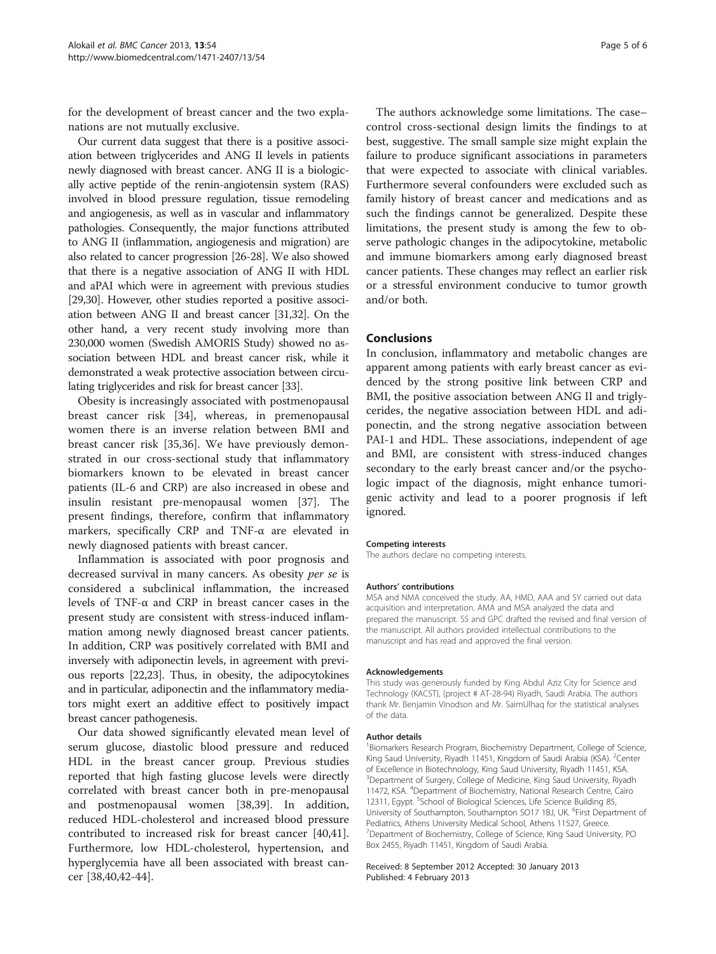for the development of breast cancer and the two explanations are not mutually exclusive.

Our current data suggest that there is a positive association between triglycerides and ANG II levels in patients newly diagnosed with breast cancer. ANG II is a biologically active peptide of the renin-angiotensin system (RAS) involved in blood pressure regulation, tissue remodeling and angiogenesis, as well as in vascular and inflammatory pathologies. Consequently, the major functions attributed to ANG II (inflammation, angiogenesis and migration) are also related to cancer progression [\[26-28\]](#page-5-0). We also showed that there is a negative association of ANG II with HDL and aPAI which were in agreement with previous studies [[29,30\]](#page-5-0). However, other studies reported a positive association between ANG II and breast cancer [\[31,32](#page-5-0)]. On the other hand, a very recent study involving more than 230,000 women (Swedish AMORIS Study) showed no association between HDL and breast cancer risk, while it demonstrated a weak protective association between circulating triglycerides and risk for breast cancer [\[33\]](#page-5-0).

Obesity is increasingly associated with postmenopausal breast cancer risk [\[34\]](#page-5-0), whereas, in premenopausal women there is an inverse relation between BMI and breast cancer risk [\[35,36](#page-5-0)]. We have previously demonstrated in our cross-sectional study that inflammatory biomarkers known to be elevated in breast cancer patients (IL-6 and CRP) are also increased in obese and insulin resistant pre-menopausal women [[37\]](#page-5-0). The present findings, therefore, confirm that inflammatory markers, specifically CRP and TNF-α are elevated in newly diagnosed patients with breast cancer.

Inflammation is associated with poor prognosis and decreased survival in many cancers. As obesity per se is considered a subclinical inflammation, the increased levels of TNF-α and CRP in breast cancer cases in the present study are consistent with stress-induced inflammation among newly diagnosed breast cancer patients. In addition, CRP was positively correlated with BMI and inversely with adiponectin levels, in agreement with previous reports [[22,23\]](#page-5-0). Thus, in obesity, the adipocytokines and in particular, adiponectin and the inflammatory mediators might exert an additive effect to positively impact breast cancer pathogenesis.

Our data showed significantly elevated mean level of serum glucose, diastolic blood pressure and reduced HDL in the breast cancer group. Previous studies reported that high fasting glucose levels were directly correlated with breast cancer both in pre-menopausal and postmenopausal women [[38,39](#page-5-0)]. In addition, reduced HDL-cholesterol and increased blood pressure contributed to increased risk for breast cancer [\[40,41](#page-5-0)]. Furthermore, low HDL-cholesterol, hypertension, and hyperglycemia have all been associated with breast cancer [\[38,40,42-44](#page-5-0)].

The authors acknowledge some limitations. The case– control cross-sectional design limits the findings to at best, suggestive. The small sample size might explain the failure to produce significant associations in parameters that were expected to associate with clinical variables. Furthermore several confounders were excluded such as family history of breast cancer and medications and as such the findings cannot be generalized. Despite these limitations, the present study is among the few to observe pathologic changes in the adipocytokine, metabolic and immune biomarkers among early diagnosed breast cancer patients. These changes may reflect an earlier risk or a stressful environment conducive to tumor growth and/or both.

# Conclusions

In conclusion, inflammatory and metabolic changes are apparent among patients with early breast cancer as evidenced by the strong positive link between CRP and BMI, the positive association between ANG II and triglycerides, the negative association between HDL and adiponectin, and the strong negative association between PAI-1 and HDL. These associations, independent of age and BMI, are consistent with stress-induced changes secondary to the early breast cancer and/or the psychologic impact of the diagnosis, might enhance tumorigenic activity and lead to a poorer prognosis if left ignored.

#### Competing interests

The authors declare no competing interests.

#### Authors' contributions

MSA and NMA conceived the study. AA, HMD, AAA and SY carried out data acquisition and interpretation. AMA and MSA analyzed the data and prepared the manuscript. SS and GPC drafted the revised and final version of the manuscript. All authors provided intellectual contributions to the manuscript and has read and approved the final version.

#### Acknowledgements

This study was generously funded by King Abdul Aziz City for Science and Technology (KACST), (project # AT-28-94) Riyadh, Saudi Arabia. The authors thank Mr. Benjamin Vinodson and Mr. SaimUlhaq for the statistical analyses of the data.

#### Author details

<sup>1</sup> Biomarkers Research Program, Biochemistry Department, College of Science, King Saud University, Riyadh 11451, Kingdom of Saudi Arabia (KSA). <sup>2</sup>Center of Excellence in Biotechnology, King Saud University, Riyadh 11451, KSA. <sup>3</sup>Department of Surgery, College of Medicine, King Saud University, Riyadh 11472, KSA. <sup>4</sup> Department of Biochemistry, National Research Centre, Cairo 12311, Egypt. <sup>5</sup>School of Biological Sciences, Life Science Building 85 University of Southampton, Southampton SO17 1BJ, UK. <sup>6</sup>First Department of Pediatrics, Athens University Medical School, Athens 11527, Greece. <sup>7</sup>Department of Biochemistry, College of Science, King Saud University, PO Box 2455, Riyadh 11451, Kingdom of Saudi Arabia.

#### Received: 8 September 2012 Accepted: 30 January 2013 Published: 4 February 2013